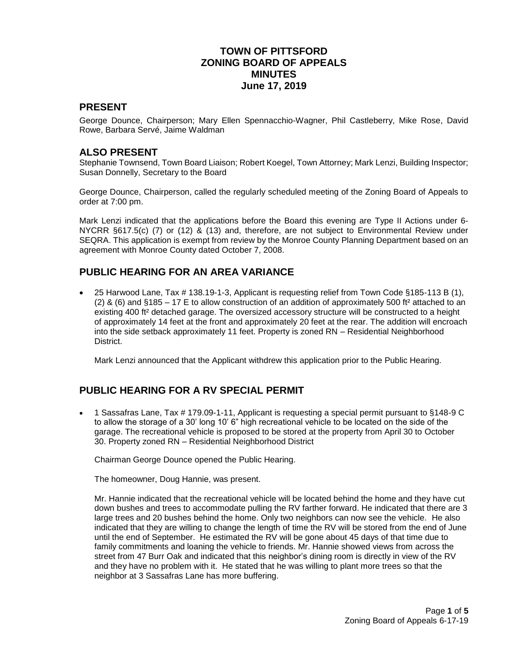## **TOWN OF PITTSFORD ZONING BOARD OF APPEALS MINUTES June 17, 2019**

#### **PRESENT**

George Dounce, Chairperson; Mary Ellen Spennacchio-Wagner, Phil Castleberry, Mike Rose, David Rowe, Barbara Servé, Jaime Waldman

#### **ALSO PRESENT**

Stephanie Townsend, Town Board Liaison; Robert Koegel, Town Attorney; Mark Lenzi, Building Inspector; Susan Donnelly, Secretary to the Board

George Dounce, Chairperson, called the regularly scheduled meeting of the Zoning Board of Appeals to order at 7:00 pm.

Mark Lenzi indicated that the applications before the Board this evening are Type II Actions under 6- NYCRR §617.5(c) (7) or (12) & (13) and, therefore, are not subject to Environmental Review under SEQRA. This application is exempt from review by the Monroe County Planning Department based on an agreement with Monroe County dated October 7, 2008.

# **PUBLIC HEARING FOR AN AREA VARIANCE**

 25 Harwood Lane, Tax # 138.19-1-3, Applicant is requesting relief from Town Code §185-113 B (1), (2) & (6) and  $§185 - 17 \text{ E}$  to allow construction of an addition of approximately 500 ft<sup>2</sup> attached to an existing 400 ft² detached garage. The oversized accessory structure will be constructed to a height of approximately 14 feet at the front and approximately 20 feet at the rear. The addition will encroach into the side setback approximately 11 feet. Property is zoned RN – Residential Neighborhood District.

Mark Lenzi announced that the Applicant withdrew this application prior to the Public Hearing.

## **PUBLIC HEARING FOR A RV SPECIAL PERMIT**

 1 Sassafras Lane, Tax # 179.09-1-11, Applicant is requesting a special permit pursuant to §148-9 C to allow the storage of a 30' long 10' 6" high recreational vehicle to be located on the side of the garage. The recreational vehicle is proposed to be stored at the property from April 30 to October 30. Property zoned RN – Residential Neighborhood District

Chairman George Dounce opened the Public Hearing.

The homeowner, Doug Hannie, was present.

Mr. Hannie indicated that the recreational vehicle will be located behind the home and they have cut down bushes and trees to accommodate pulling the RV farther forward. He indicated that there are 3 large trees and 20 bushes behind the home. Only two neighbors can now see the vehicle. He also indicated that they are willing to change the length of time the RV will be stored from the end of June until the end of September. He estimated the RV will be gone about 45 days of that time due to family commitments and loaning the vehicle to friends. Mr. Hannie showed views from across the street from 47 Burr Oak and indicated that this neighbor's dining room is directly in view of the RV and they have no problem with it. He stated that he was willing to plant more trees so that the neighbor at 3 Sassafras Lane has more buffering.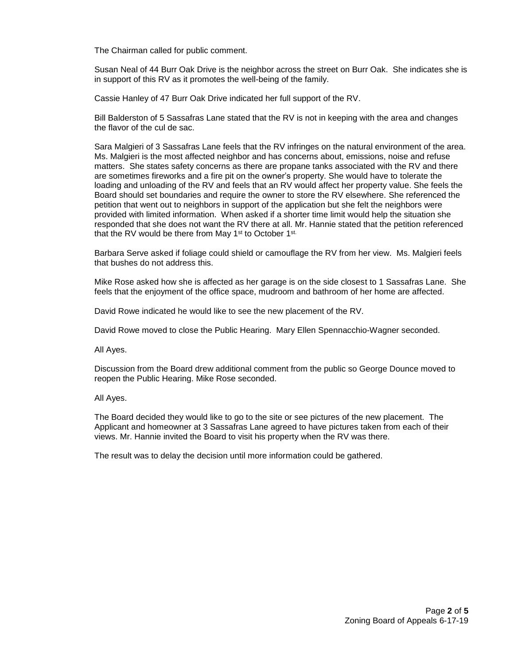The Chairman called for public comment.

Susan Neal of 44 Burr Oak Drive is the neighbor across the street on Burr Oak. She indicates she is in support of this RV as it promotes the well-being of the family.

Cassie Hanley of 47 Burr Oak Drive indicated her full support of the RV.

Bill Balderston of 5 Sassafras Lane stated that the RV is not in keeping with the area and changes the flavor of the cul de sac.

Sara Malgieri of 3 Sassafras Lane feels that the RV infringes on the natural environment of the area. Ms. Malgieri is the most affected neighbor and has concerns about, emissions, noise and refuse matters. She states safety concerns as there are propane tanks associated with the RV and there are sometimes fireworks and a fire pit on the owner's property. She would have to tolerate the loading and unloading of the RV and feels that an RV would affect her property value. She feels the Board should set boundaries and require the owner to store the RV elsewhere. She referenced the petition that went out to neighbors in support of the application but she felt the neighbors were provided with limited information. When asked if a shorter time limit would help the situation she responded that she does not want the RV there at all. Mr. Hannie stated that the petition referenced that the RV would be there from May 1<sup>st</sup> to October 1<sup>st.</sup>

Barbara Serve asked if foliage could shield or camouflage the RV from her view. Ms. Malgieri feels that bushes do not address this.

Mike Rose asked how she is affected as her garage is on the side closest to 1 Sassafras Lane. She feels that the enjoyment of the office space, mudroom and bathroom of her home are affected.

David Rowe indicated he would like to see the new placement of the RV.

David Rowe moved to close the Public Hearing. Mary Ellen Spennacchio-Wagner seconded.

All Ayes.

Discussion from the Board drew additional comment from the public so George Dounce moved to reopen the Public Hearing. Mike Rose seconded.

All Ayes.

The Board decided they would like to go to the site or see pictures of the new placement. The Applicant and homeowner at 3 Sassafras Lane agreed to have pictures taken from each of their views. Mr. Hannie invited the Board to visit his property when the RV was there.

The result was to delay the decision until more information could be gathered.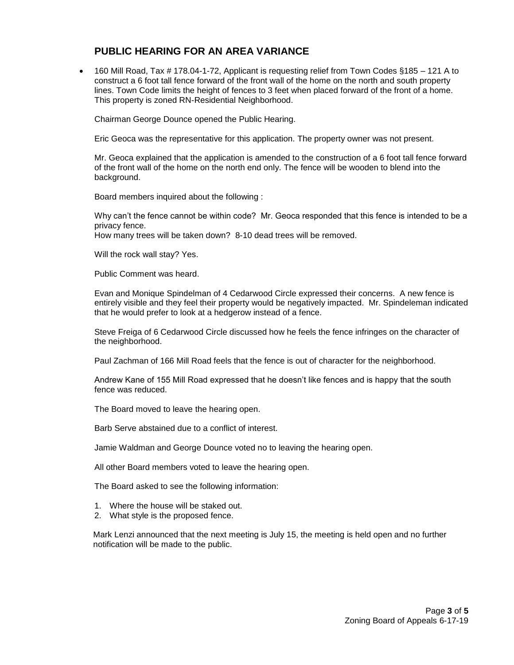### **PUBLIC HEARING FOR AN AREA VARIANCE**

 160 Mill Road, Tax # 178.04-1-72, Applicant is requesting relief from Town Codes §185 – 121 A to construct a 6 foot tall fence forward of the front wall of the home on the north and south property lines. Town Code limits the height of fences to 3 feet when placed forward of the front of a home. This property is zoned RN-Residential Neighborhood.

Chairman George Dounce opened the Public Hearing.

Eric Geoca was the representative for this application. The property owner was not present.

Mr. Geoca explained that the application is amended to the construction of a 6 foot tall fence forward of the front wall of the home on the north end only. The fence will be wooden to blend into the background.

Board members inquired about the following :

Why can't the fence cannot be within code? Mr. Geoca responded that this fence is intended to be a privacy fence.

How many trees will be taken down? 8-10 dead trees will be removed.

Will the rock wall stay? Yes.

Public Comment was heard.

Evan and Monique Spindelman of 4 Cedarwood Circle expressed their concerns. A new fence is entirely visible and they feel their property would be negatively impacted. Mr. Spindeleman indicated that he would prefer to look at a hedgerow instead of a fence.

Steve Freiga of 6 Cedarwood Circle discussed how he feels the fence infringes on the character of the neighborhood.

Paul Zachman of 166 Mill Road feels that the fence is out of character for the neighborhood.

Andrew Kane of 155 Mill Road expressed that he doesn't like fences and is happy that the south fence was reduced.

The Board moved to leave the hearing open.

Barb Serve abstained due to a conflict of interest.

Jamie Waldman and George Dounce voted no to leaving the hearing open.

All other Board members voted to leave the hearing open.

The Board asked to see the following information:

- 1. Where the house will be staked out.
- 2. What style is the proposed fence.

 Mark Lenzi announced that the next meeting is July 15, the meeting is held open and no further notification will be made to the public.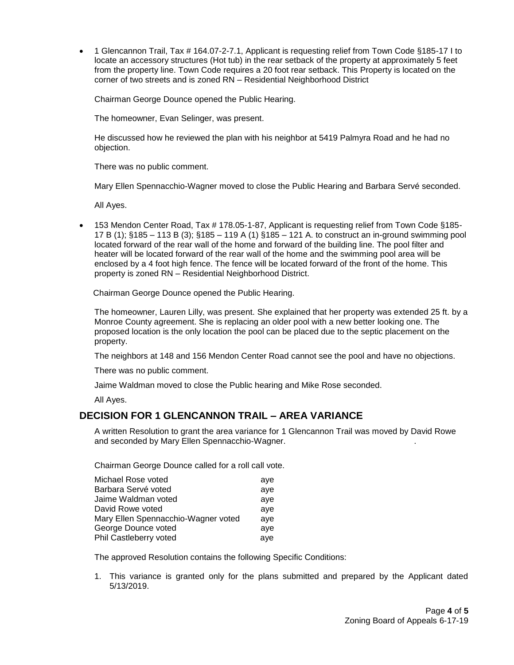1 Glencannon Trail, Tax # 164.07-2-7.1, Applicant is requesting relief from Town Code §185-17 I to locate an accessory structures (Hot tub) in the rear setback of the property at approximately 5 feet from the property line. Town Code requires a 20 foot rear setback. This Property is located on the corner of two streets and is zoned RN – Residential Neighborhood District

Chairman George Dounce opened the Public Hearing.

The homeowner, Evan Selinger, was present.

He discussed how he reviewed the plan with his neighbor at 5419 Palmyra Road and he had no objection.

There was no public comment.

Mary Ellen Spennacchio-Wagner moved to close the Public Hearing and Barbara Servé seconded.

All Ayes.

• 153 Mendon Center Road, Tax # 178.05-1-87, Applicant is requesting relief from Town Code §185-17 B (1); §185 – 113 B (3); §185 – 119 A (1) §185 – 121 A. to construct an in-ground swimming pool located forward of the rear wall of the home and forward of the building line. The pool filter and heater will be located forward of the rear wall of the home and the swimming pool area will be enclosed by a 4 foot high fence. The fence will be located forward of the front of the home. This property is zoned RN – Residential Neighborhood District.

Chairman George Dounce opened the Public Hearing.

The homeowner, Lauren Lilly, was present. She explained that her property was extended 25 ft. by a Monroe County agreement. She is replacing an older pool with a new better looking one. The proposed location is the only location the pool can be placed due to the septic placement on the property.

The neighbors at 148 and 156 Mendon Center Road cannot see the pool and have no objections.

There was no public comment.

Jaime Waldman moved to close the Public hearing and Mike Rose seconded.

All Ayes.

## **DECISION FOR 1 GLENCANNON TRAIL – AREA VARIANCE**

A written Resolution to grant the area variance for 1 Glencannon Trail was moved by David Rowe and seconded by Mary Ellen Spennacchio-Wagner. .

Chairman George Dounce called for a roll call vote.

| Michael Rose voted                  | ave |
|-------------------------------------|-----|
| Barbara Servé voted                 | ave |
| Jaime Waldman voted                 | ave |
| David Rowe voted                    | ave |
| Mary Ellen Spennacchio-Wagner voted | ave |
| George Dounce voted                 | ave |
| Phil Castleberry voted              | aye |

The approved Resolution contains the following Specific Conditions:

1. This variance is granted only for the plans submitted and prepared by the Applicant dated 5/13/2019.